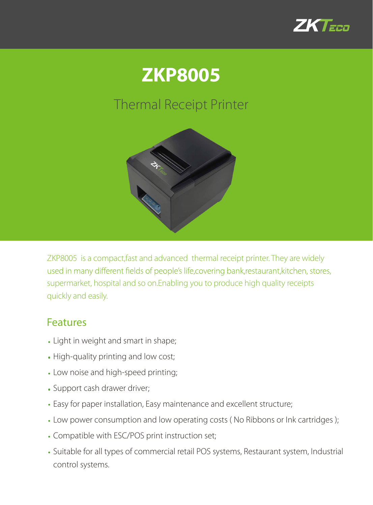



## Thermal Receipt Printer



ZKP8005 is a compact,fast and advanced thermal receipt printer. They are widely used in many different fields of people's life, covering bank, restaurant, kitchen, stores, supermarket, hospital and so on.Enabling you to produce high quality receipts quickly and easily.

## Features

- Light in weight and smart in shape;
- High-quality printing and low cost;
- Low noise and high-speed printing;
- Support cash drawer driver;
- Easy for paper installation, Easy maintenance and excellent structure;
- Low power consumption and low operating costs ( No Ribbons or Ink cartridges );
- Compatible with ESC/POS print instruction set;
- Suitable for all types of commercial retail POS systems, Restaurant system, Industrial control systems.